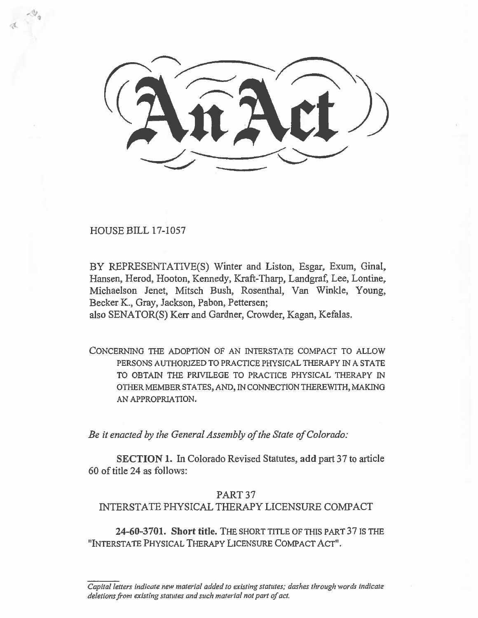HOUSE BILL 17-1057

BY REPRESENTATIVE(S) Winter and Liston, Esgar, Exum, Ginal, Hansen, Herod, Hooton, Kennedy, Kraft-Tharp, Landgraf, Lee, Lontine, Michaelson Jenet, Mitsch Bush, Rosenthal, Van Winkle, Young, Becker K., Gray, Jackson, Pabon, Pettersen;

also SENATOR(S) Kerr and Gardner, Crowder, Kagan, Kefalas.

CONCERNING THE ADOPTION OF AN INTERSTATE COMPACT TO ALLOW PERSONS AUTHORIZED TO PRACTICE PHYSICAL THERAPY IN A STATE TO OBTAIN THE PRIVILEGE TO PRACTICE PHYSICAL THERAPY IN OTHER MEMBER STATES, AND, IN CONNECTION THEREWITH, MAKING AN APPROPRIATION.

*Be it enacted by the General Assembly of the State of Colorado:* 

**SECTION 1.** In Colorado Revised Statutes, **add** part 37 to article 60 of title 24 as follows:

## PART 37

# INTERSTATE PHYSICAL THERAPY LICENSURE COMPACT

**24-60-3701. Short title.** THE SHORT TITLE OF THIS PART 37 IS THE "INTERSTATE PHYSICAL THERAPY LICENSURE COMPACT ACT".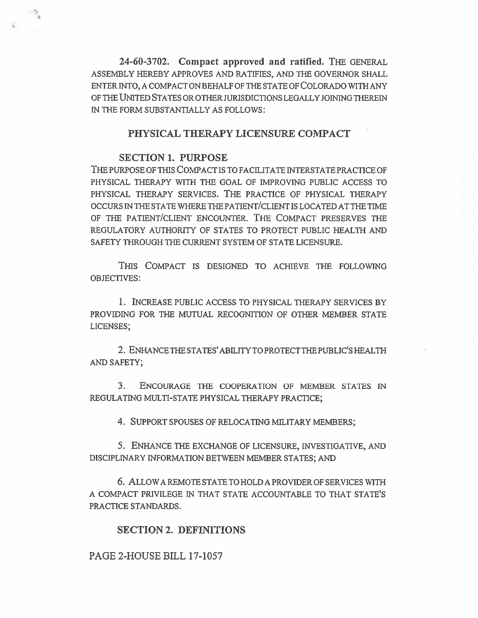**24-60-3702. Compact approved and ratified.** THE GENERAL ASSEMBLY HEREBY APPROVES AND RATIFIES, AND THE GOVERNOR SHALL ENTER INTO, A COMPACT ON BEHALF OF THE STATE OF COLORADO WITH ANY OF THE UNITED STATES OR OTHER JURISDICTIONS LEGALLY JOINING THEREIN IN THE FORM SUBSTANTIALLY AS FOLLOWS:

## **PHYSICAL THERAPY LICENSURE COMPACT**

### **SECTION 1. PURPOSE**

THE PURPOSE OF THIS COMPACT IS TO FACILITATE INTERSTATE PRACTICE OF PHYSICAL THERAPY WITH THE GOAL OF IMPROVING PUBLIC ACCESS TO PHYSICAL THERAPY SERVICES. THE PRACTICE OF PHYSICAL THERAPY OCCURS IN THE STATE WHERE THE PATIENT/CLIENT IS LOCATED AT THE TIME OF THE PATIENT/CLIENT ENCOUNTER. THE COMPACT PRESERVES THE REGULATORY AUTHORITY OF STATES TO PROTECT PUBLIC HEALTH AND SAFETY THROUGH THE CURRENT SYSTEM OF STATE LICENSURE.

THIS COMPACT IS DESIGNED TO ACHIEVE THE FOLLOWING OBJECTIVES:

1. INCREASE PUBLIC ACCESS TO PHYSICAL THERAPY SERVICES BY PROVIDING FOR THE MUTUAL RECOGNITION OF OTHER MEMBER STATE LICENSES;

2. ENHANCE THE STATES' ABILITY TO PROTECT THE PUBLIC'S HEALTH AND SAFETY;

3. ENCOURAGE **THE** COOPERATION OF MEMBER STATES IN REGULATING MULTI-STATE PHYSICAL THERAPY PRACTICE;

4. SUPPORT SPOUSES OF RELOCATING MILITARY MEMBERS;

5. ENHANCE THE EXCHANGE OF LICENSURE, INVESTIGATIVE, AND DISCIPLINARY INFORMATION BETWEEN MEMBER STATES; AND

6. ALLOW A REMOTE STATE TO HOLD A PROVIDER OF SERVICES WITH A COMPACT PRIVILEGE IN THAT STATE ACCOUNTABLE TO THAT STATE'S PRACTICE STANDARDS.

## **SECTION 2. DEFINITIONS**

PAGE 2-HOUSE BILL 17-1057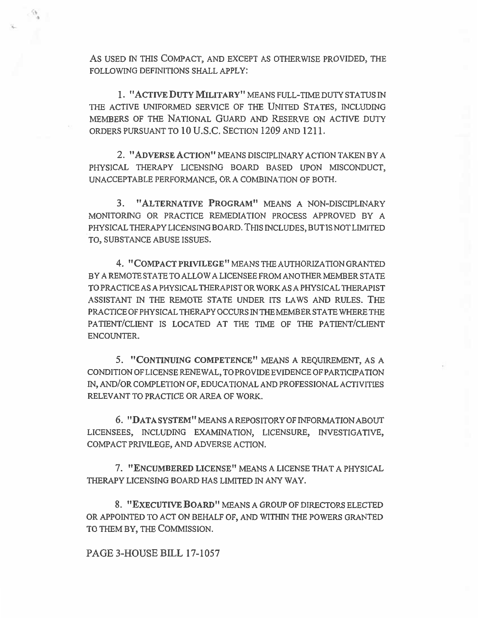AS USED IN THIS COMPACT, AND EXCEPT AS OTHERWISE PROVIDED, THE FOLLOWING DEFINITIONS SHALL APPLY:

1. "ACTIVE DUTY MILITARY" MEANS FULL-TIME DUTY STATUS IN THE ACTIVE UNIFORMED SERVICE OF THE UNITED STATES, INCLUDING MEMBERS OF THE NATIONAL GUARD AND RESERVE ON ACTIVE DUTY ORDERS PURSUANT TO 10 U. S .C. SECTION **1209** AND **1211.** 

**2. "ADVERSE** ACTION" MEANS DISCIPLINARY ACTION TAKEN BY A PHYSICAL THERAPY LICENSING BOARD BASED UPON MISCONDUCT, UNACCEPTABLE PERFORMANCE, OR A COMBINATION OF BOTH.

3. "ALTERNATIVE PROGRAM" MEANS A NON-DISCIPLINARY MONITORING OR PRACTICE REMEDIATION PROCESS APPROVED BY A PHYSICAL THERAPY LICENSING BOARD. THIS INCLUDES, BUT IS NOT LIMITED TO, SUBSTANCE ABUSE ISSUES.

**4. "COMPACT** PRIVILEGE" MEANS THE AUTHORIZATION GRANTED BY A REMOTE STATE TO ALLOW A LICENSEE FROM ANOTHER MEMBER STATE TO PRACTICE AS A PHYSICAL THERAPIST OR WORK AS A PHYSICAL THERAPIST ASSISTANT IN THE REMOTE STATE UNDER ITS LAWS AND RULES. THE PRACTICE OF PHYSICAL THERAPY OCCURS IN THE MEMBER STATE WHERE THE PATIENT/CLIENT IS LOCATED AT THE TIME OF THE PATIENT/CLIENT ENCOUNTER.

5. "CONTINUING COMPETENCE" MEANS A REQUIREMENT, AS A CONDITION OF LICENSE RENEWAL, TO PROVIDE EVIDENCE OF PARTICIPATION IN, AND/OR COMPLETION OF, EDUCATIONAL AND PROFESSIONAL ACTIVITIES RELEVANT TO PRACTICE OR AREA OF WORK.

6. "DATA SYSTEM" MEANS A REPOSITORY OF INFORMATION ABOUT LICENSEES, INCLUDING EXAMINATION, LICENSURE, INVESTIGATIVE, COMPACT PRIVILEGE, AND ADVERSE ACTION.

7. "ENCUMBERED LICENSE" MEANS A LICENSE THAT A PHYSICAL THERAPY LICENSING BOARD HAS LIMITED IN ANY WAY.

8. "EXECUTIVE BOARD" MEANS A GROUP OF DIRECTORS ELECTED OR APPOINTED TO ACT ON BEHALF OF, AND WITHIN THE POWERS GRANTED TO THEM BY, THE COMMISSION.

### **PAGE 3-HOUSE BILL 17-1057**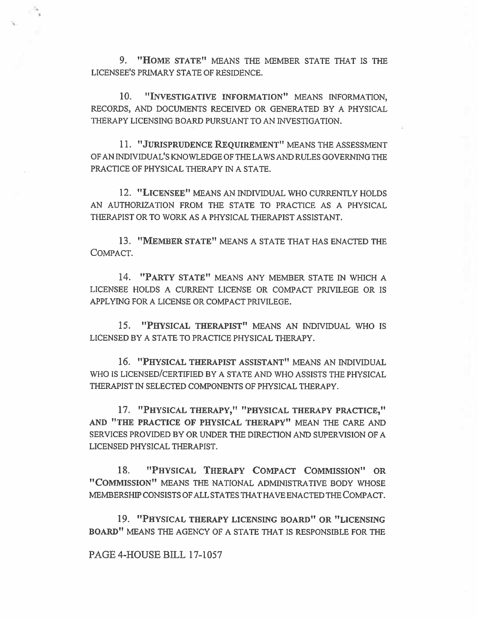9. "HOME STATE" MEANS THE MEMBER STATE THAT IS THE LICENSEE'S PRIMARY STATE OF RESIDENCE.

10. "INVESTIGATIVE INFORMATION" MEANS INFORMATION, RECORDS, AND DOCUMENTS RECEIVED OR GENERATED BY A PHYSICAL THERAPY LICENSING BOARD PURSUANT TO AN INVESTIGATION.

11. "JURISPRUDENCE REQUIREMENT" MEANS THE ASSESSMENT OF AN INDIVIDUAL'S KNOWLEDGE OF THE LAWS AND RULES GOVERNING THE PRACTICE OF PHYSICAL THERAPY IN A STATE.

12. "LICENSEE" MEANS AN INDIVIDUAL WHO CURRENTLY HOLDS AN AUTHORIZATION FROM THE STATE TO PRACTICE AS A PHYSICAL THERAPIST OR TO WORK AS A PHYSICAL THERAPIST ASSISTANT.

**13. "MEMBER STATE"** MEANS A STATE THAT HAS ENACTED THE COMPACT.

**14. "PARTY STATE" MEANS ANY MEMBER STATE IN WHICH** A LICENSEE HOLDS A CURRENT LICENSE OR COMPACT PRIVILEGE OR IS APPLYING FOR **A** LICENSE OR COMPACT PRIVILEGE.

**15. "PHYSICAL THERAPIST" MEANS AN INDIVIDUAL WHO IS LICENSED BY A** STATE TO PRACTICE PHYSICAL THERAPY.

16. "PHYSICAL **THERAPIST ASSISTANT" MEANS AN INDIVIDUAL WHO IS LICENSED/CERTIFIED BY A STATE AND WHO ASSISTS THE PHYSICAL THERAPIST IN SELECTED COMPONENTS OF PHYSICAL THERAPY.** 

**17. "PHYSICAL THERAPY," "PHYSICAL THERAPY PRACTICE," AND "THE PRACTICE OF PHYSICAL THERAPY"** MEAN **THE CARE AND SERVICES PROVIDED BY OR UNDER THE DIRECTION AND SUPERVISION OF A LICENSED PHYSICAL THERAPIST.** 

18. "PHYSICAL **THERAPY COMPACT COMMISSION" OR "COMMISSION" MEANS THE NATIONAL ADMINISTRATIVE BODY WHOSE MEMBERSHIP CONSISTS OF ALL STATES THAT HAVE ENACTED THE COMPACT.** 

**19. "PHYSICAL THERAPY LICENSING BOARD" OR "LICENSING BOARD" MEANS THE AGENCY OF A STATE THAT IS RESPONSIBLE FOR THE** 

### PAGE 4-HOUSE BILL 17-1057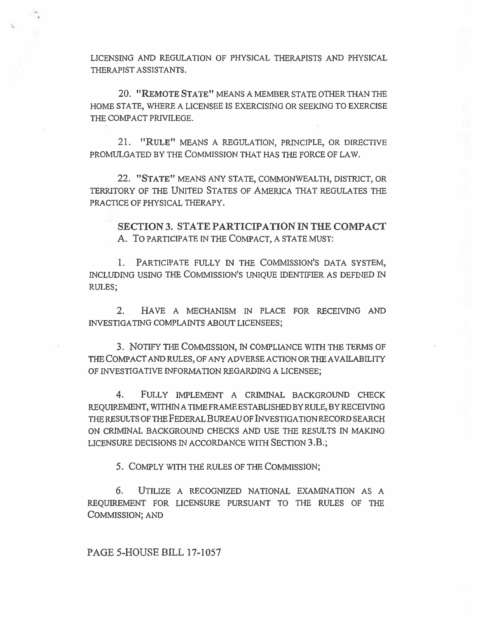LICENSING AND REGULATION OF PHYSICAL THERAPISTS AND PHYSICAL THERAPIST ASSISTANTS.

20. "REMOTE STATE" MEANS A MEMBER STATE OTHER THAN THE HOME STATE, WHERE A LICENSEE IS EXERCISING OR SEEKING TO EXERCISE THE COMPACT PRIVILEGE.

21. "RULE" MEANS A REGULATION, PRINCIPLE, OR DIRECTIVE PROMULGATED BY THE COMMISSION THAT HAS THE FORCE OF LAW.

22. "STATE" MEANS ANY STATE, COMMONWEALTH, DISTRICT, OR TERRITORY OF THE UNITED STATES OF AMERICA THAT REGULATES THE PRACTICE OF PHYSICAL THERAPY.

**SECTION 3. STATE PARTICIPATION IN THE COMPACT**  A. To PARTICIPATE IN THE COMPACT, A STATE MUST:

1. PARTICIPATE FULLY IN THE COMMISSION'S DATA SYSTEM, INCLUDING USING THE COMMISSION'S UNIQUE IDENTIFIER AS DEFINED IN RULES;

2. HAVE A MECHANISM IN PLACE FOR RECEIVING AND INVESTIGATING COMPLAINTS ABOUT LICENSEES;

3. NOTIFY THE COMMISSION, IN COMPLIANCE WITH THE TERMS OF THE COMPACT AND RULES, OF ANY ADVERSE ACTION OR THE AVAILABILITY OF INVESTIGATIVE INFORMATION REGARDING A LICENSEE;

4. FULLY IMPLEMENT A CRIMINAL BACKGROUND CHECK REQUIREMENT, WITHIN A TIME FRAME ESTABLISHED BY RULE, BY RECEIVING THE RESULTS OF THE FEDERAL **BUREAU** OF INVESTIGATION RECORD SEARCH ON CRIMINAL BACKGROUND CHECKS AND USE THE RESULTS IN MAKING LICENSURE DECISIONS IN ACCORDANCE WITH SECTION **3.B.;** 

5. COMPLY WITH THE RULES OF THE COMMISSION;

6. UTILIZE A RECOGNIZED NATIONAL EXAMINATION AS A REQUIREMENT FOR LICENSURE PURSUANT TO THE RULES OF THE COMMISSION; AND

PAGE 5-HOUSE BILL 17-1057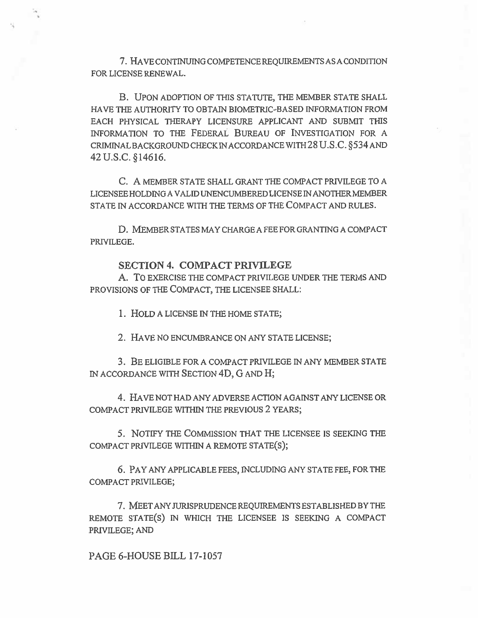7. HAVE CONTINUING COMPETENCE REQUIREMENTS AS A CONDITION FOR LICENSE RENEWAL.

B. UPON ADOPTION OF THIS STATUTE, THE MEMBER STATE SHALL HAVE THE AUTHORITY TO OBTAIN BIOMETRIC-BASED INFORMATION FROM EACH PHYSICAL THERAPY LICENSURE APPLICANT AND SUBMIT THIS INFORMATION TO THE FEDERAL BUREAU OF INVESTIGATION FOR A CRIMINAL BACKGROUND CHECK IN ACCORDANCE WITH 28 U.S.C. §534 AND 42 U.S.C. §14616.

C. A MEMBER STATE SHALL GRANT THE COMPACT PRIVILEGE TO A LICENSEE HOLDING A VALID UNENCUMBERED LICENSE IN ANOTHER MEMBER STATE IN ACCORDANCE WITH THE TERMS OF THE COMPACT AND RULES.

D. MEMBER STATES MAY CHARGE A FEE FOR GRANTING A COMPACT PRIVILEGE.

### **SECTION 4. COMPACT PRIVILEGE**

A. To EXERCISE THE COMPACT PRIVILEGE UNDER THE TERMS AND PROVISIONS OF THE COMPACT, THE LICENSEE SHALL:

1. HOLD A LICENSE IN THE HOME STATE;

2. HAVE NO ENCUMBRANCE ON ANY STATE LICENSE;

3. BE ELIGIBLE FOR A COMPACT PRIVILEGE IN ANY MEMBER STATE IN ACCORDANCE WITH SECTION 4D, G AND H;

4. HAVE NOT HAD ANY ADVERSE ACTION AGAINST ANY LICENSE OR COMPACT PRIVILEGE WITHIN THE PREVIOUS 2 YEARS;

5. NOTIFY THE COMMISSION THAT THE LICENSEE IS SEEKING THE COMPACT PRIVILEGE WITHIN A REMOTE STATE(S);

6. PAY ANY APPLICABLE FEES, INCLUDING ANY STATE FEE, FOR THE COMPACT PRIVILEGE;

7. MEET ANY JURISPRUDENCE REQUIREMENTS ESTABLISHED BY THE REMOTE STATE(S) IN WHICH THE LICENSEE IS SEEKING A COMPACT PRIVILEGE; AND

PAGE 6-HOUSE BILL 17-1057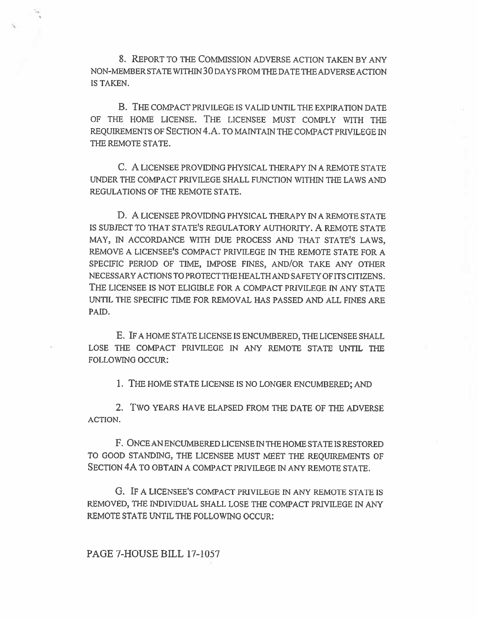8. REPORT TO THE COMMISSION ADVERSE ACTION TAKEN BY ANY NON-MEMBER STATE WITHIN 30 DAYS FROM THE DATE THE ADVERSE ACTION IS TAKEN.

B. THE COMPACT PRIVILEGE IS VALID UNTIL THE EXPIRATION DATE OF THE HOME LICENSE. THE LICENSEE MUST COMPLY WITH THE REQUIREMENTS OF SECTION 4.A. TO MAINTAIN THE COMPACT PRIVILEGE IN THE REMOTE STATE.

C. A LICENSEE PROVIDING PHYSICAL THERAPY IN A REMOTE STATE UNDER THE COMPACT PRIVILEGE SHALL FUNCTION WITHIN THE LAWS AND REGULATIONS OF THE REMOTE STATE.

**D.** A LICENSEE PROVIDING PHYSICAL THERAPY IN A REMOTE STATE IS SUBJECT TO THAT STATE'S REGULATORY AUTHORITY. A REMOTE STATE MAY, IN ACCORDANCE WITH DUE PROCESS AND THAT STATE'S LAWS, REMOVE A LICENSEE'S COMPACT PRIVILEGE IN THE REMOTE STATE FOR A SPECIFIC PERIOD OF TIME, IMPOSE FINES, AND/OR TAKE ANY OTHER NECESSARY ACTIONS TO PROTECT THE HEALTH AND SAFETY OF ITS CITIZENS. THE LICENSEE IS NOT ELIGIBLE FOR A COMPACT PRIVILEGE IN ANY STATE UNTIL THE SPECIFIC TIME FOR REMOVAL HAS PASSED AND ALL FINES ARE PAID.

E. IF A HOME STATE LICENSE IS ENCUMBERED, THE LICENSEE SHALL LOSE THE COMPACT PRIVILEGE IN ANY REMOTE STATE UNTIL THE FOLLOWING OCCUR:

1. THE HOME STATE LICENSE IS NO LONGER ENCUMBERED; AND

2. TWO YEARS HAVE ELAPSED FROM THE DATE OF THE ADVERSE ACTION.

F. **ONCE AN** ENCUMBERED LICENSE IN THE HOME STATE IS RESTORED TO GOOD STANDING, THE LICENSEE MUST MEET THE REQUIREMENTS OF SECTION 4A TO OBTAIN A COMPACT PRIVILEGE IN ANY REMOTE STATE.

G. IF A LICENSEE'S COMPACT PRIVILEGE IN ANY REMOTE STATE IS REMOVED, THE INDIVIDUAL SHALL LOSE THE COMPACT PRIVILEGE IN ANY REMOTE STATE UNTIL THE FOLLOWING OCCUR:

**PAGE 7-HOUSE BILL 17-1057**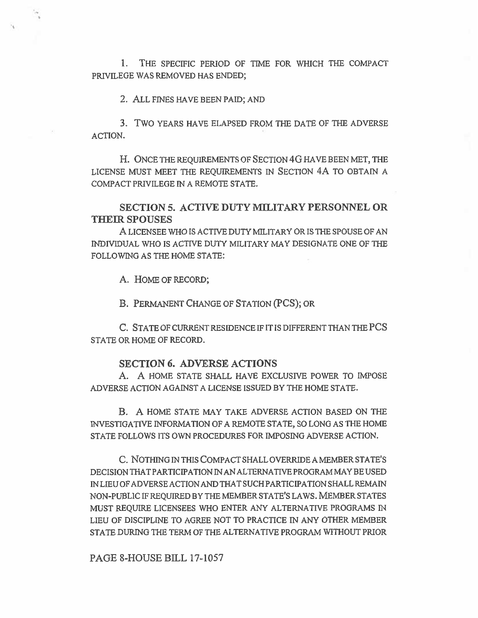1. THE SPECIFIC PERIOD OF TIME FOR WHICH THE COMPACT PRIVILEGE WAS REMOVED HAS ENDED;

**2. ALL** FINES HAVE BEEN PAID; AND

3. TWO YEARS HAVE ELAPSED FROM THE DATE OF THE ADVERSE ACTION.

H. ONCE THE REQUIREMENTS OF SECTION 4G HAVE BEEN MET, THE LICENSE MUST MEET THE REQUIREMENTS IN SECTION 4A TO OBTAIN A COMPACT PRIVILEGE IN A REMOTE STATE.

**SECTION 5. ACTIVE DUTY MILITARY PERSONNEL OR THEIR SPOUSES** 

A LICENSEE WHO IS ACTIVE DUTY MILITARY OR IS THE SPOUSE OF AN INDIVIDUAL WHO IS ACTIVE DUTY MILITARY MAY DESIGNATE ONE OF THE FOLLOWING AS THE HOME STATE:

A. HOME OF RECORD;

B. PERMANENT CHANGE OF STATION (PCS); OR

C. STATE OF CURRENT RESIDENCE IF IT IS DIFFERENT THAN THE PCS STATE OR HOME OF RECORD.

#### **SECTION 6. ADVERSE ACTIONS**

A. A HOME STATE SHALL HAVE EXCLUSIVE POWER TO IMPOSE ADVERSE ACTION AGAINST A LICENSE ISSUED BY THE HOME STATE.

**B. A** HOME STATE MAY TAKE ADVERSE ACTION BASED ON THE INVESTIGATIVE INFORMATION OF A REMOTE STATE, SO LONG AS THE HOME STATE FOLLOWS ITS OWN PROCEDURES FOR IMPOSING ADVERSE ACTION.

C. NOTHING IN THIS COMPACT SHALL OVERRIDE A MEMBER STATE'S DECISION THAT PARTICIPATION IN AN ALTERNATIVE PROGRAM MAY BE USED IN LIEU OF ADVERSE ACTION AND THAT SUCH PARTICIPATION SHALL REMAIN NON-PUBLIC IF REQUIRED BY THE MEMBER STATE'S LAWS. MEMBER STATES MUST REQUIRE LICENSEES WHO ENTER ANY ALTERNATIVE PROGRAMS IN LIEU OF DISCIPLINE TO AGREE NOT TO PRACTICE IN ANY OTHER MEMBER STATE DURING THE TERM OF THE ALTERNATIVE PROGRAM WITHOUT PRIOR

PAGE 8-HOUSE BILL 17-1057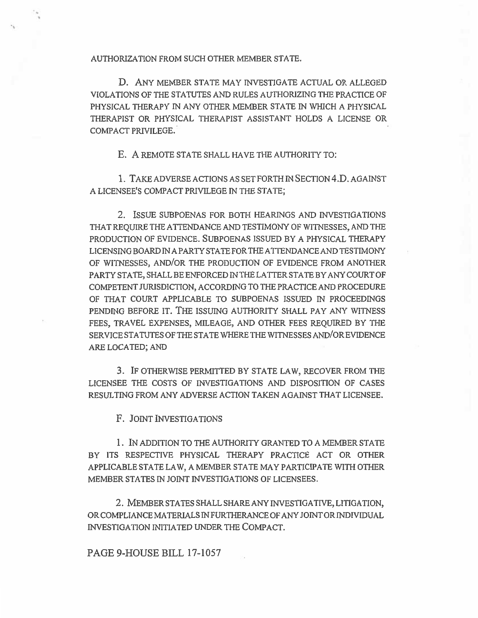AUTHORIZATION FROM SUCH OTHER MEMBER STATE.

D. ANY MEMBER STATE MAY INVESTIGATE ACTUAL OR ALLEGED VIOLATIONS OF THE STATUTES AND RULES AUTHORIZING THE PRACTICE OF PHYSICAL THERAPY IN ANY OTHER MEMBER STATE IN WHICH A PHYSICAL THERAPIST OR PHYSICAL THERAPIST ASSISTANT HOLDS A LICENSE OR COMPACT PRIVILEGE.

E. A REMOTE STATE SHALL HAVE THE AUTHORITY TO:

1. TAKE ADVERSE ACTIONS AS SET FORTH IN SECTION 4.D. AGAINST A LICENSEE'S COMPACT PRIVILEGE IN THE STATE;

2. ISSUE SUBPOENAS FOR BOTH HEARINGS AND INVESTIGATIONS THAT REQUIRE THE ATTENDANCE AND TESTIMONY OF WITNESSES, AND THE PRODUCTION OF EVIDENCE. SUBPOENAS ISSUED BY A PHYSICAL THERAPY LICENSING BOARD IN A PARTY STATE FOR THE ATTENDANCE AND TESTIMONY OF WITNESSES, AND/OR THE PRODUCTION OF EVIDENCE FROM ANOTHER PARTY STATE, SHALL BE ENFORCED IN THE LATTER STATE BY ANY COURT OF COMPETENT JURISDICTION, ACCORDING TO THE PRACTICE AND PROCEDURE OF THAT COURT APPLICABLE TO SUBPOENAS ISSUED IN PROCEEDINGS PENDING BEFORE IT. THE ISSUING AUTHORITY SHALL PAY ANY WITNESS FEES, TRAVEL EXPENSES, MILEAGE, AND OTHER FEES REQUIRED BY THE SERVICE STATUTES OF THE STATE WHERE THE WITNESSES AND/OR EVIDENCE ARE LOCATED; AND

3. IF OTHERWISE PERMITTED BY STATE LAW, RECOVER FROM THE LICENSEE THE COSTS OF INVESTIGATIONS AND DISPOSITION OF CASES RESULTING FROM ANY ADVERSE ACTION TAKEN AGAINST THAT LICENSEE.

F. JOINT INVESTIGATIONS

1. IN ADDITION TO THE AUTHORITY GRANTED TO A MEMBER STATE BY ITS RESPECTIVE PHYSICAL THERAPY PRACTICE ACT OR OTHER APPLICABLE STATE LAW, A MEMBER STATE MAY PARTICIPATE WITH OTHER MEMBER STATES IN JOINT INVESTIGATIONS OF LICENSEES.

2. MEMBER STATES SHALL SHARE ANY INVESTIGATIVE, LITIGATION, OR COMPLIANCE MATERIALS IN FURTHERANCE OF ANY JOINT OR INDIVIDUAL INVESTIGATION INITIATED UNDER THE COMPACT.

PAGE 9-HOUSE BILL 17-1057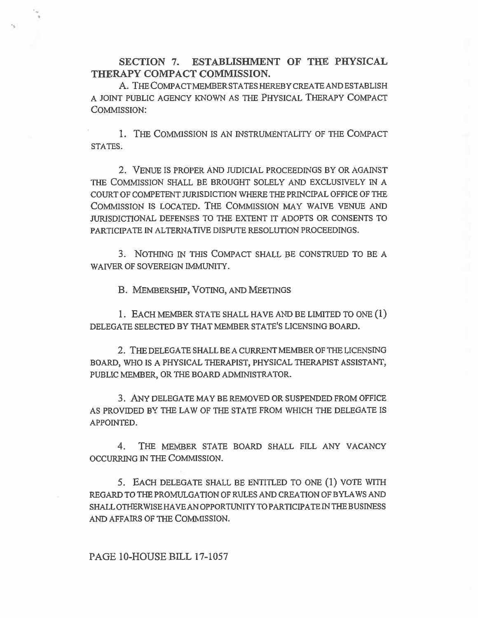**SECTION 7. ESTABLISHMENT OF THE PHYSICAL THERAPY COMPACT COMMISSION.** 

A. THE COMPACT MEMBER STATES HEREBY CREATE AND ESTABLISH A JOINT PUBLIC AGENCY KNOWN AS THE PHYSICAL THERAPY COMPACT COMMISSION:

1. THE COMMISSION IS AN INSTRUMENTALITY OF THE COMPACT STATES.

2. VENUE IS PROPER AND JUDICIAL PROCEEDINGS BY OR AGAINST THE COMMISSION SHALL BE BROUGHT SOLELY AND EXCLUSIVELY IN A COURT OF COMPETENT JURISDICTION WHERE THE PRINCIPAL OFFICE OF THE COMMISSION IS LOCATED. THE COMMISSION MAY WAIVE VENUE AND JURISDICTIONAL DEFENSES TO THE EXTENT IT ADOPTS OR CONSENTS TO PARTICIPATE IN ALTERNATIVE DISPUTE RESOLUTION PROCEEDINGS.

3. NOTHING IN THIS COMPACT SHALL BE CONSTRUED TO BE A WAIVER OF SOVEREIGN IMMUNITY.

**B.** MEMBERSHIP, VOTING, AND MEETINGS

1. EACH MEMBER. STATE SHALL HAVE AND BE LIMITED TO ONE (1) DELEGATE SELECTED BY THAT MEMBER STATE'S LICENSING BOARD.

2. THE DELEGATE SHALL BE A CURRENT MEMBER OF THE LICENSING BOARD, WHO IS A PHYSICAL THERAPIST, PHYSICAL THERAPIST ASSISTANT, PUBLIC MEMBER, OR THE BOARD ADMINISTRATOR.

3. ANY DELEGATE MAY BE REMOVED OR SUSPENDED FROM OFFICE AS PROVIDED BY THE LAW OF THE STATE FROM WHICH THE DELEGATE IS APPOINTED.

4. THE MEMBER STATE BOARD SHALL FILL ANY VACANCY OCCURRING IN THE COMMISSION.

5. EACH DELEGATE SHALL BE ENTITLED TO ONE **(1)** VOTE WITH REGARD TO THE PROMULGATION OF RULES AND CREATION OF BYLAWS AND SHALL OTHERWISE HAVE AN OPPORTUNITY TO PARTICIPATE IN THE BUSINESS AND AFFAIRS OF THE COMMISSION.

# **PAGE 10-HOUSE BILL** 17-1057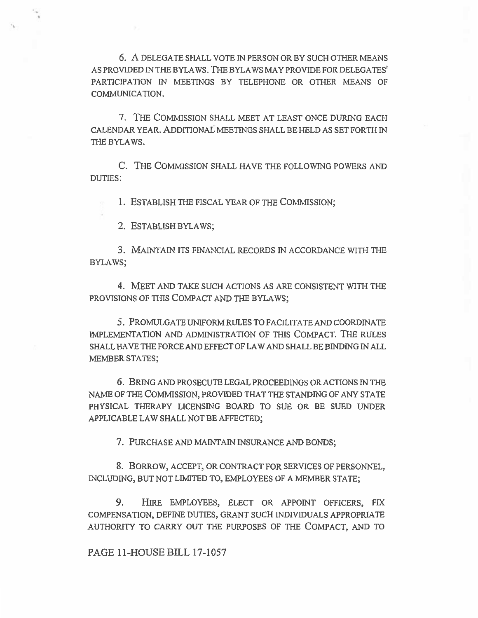6. A DELEGATE SHALL VOTE IN PERSON OR BY SUCH OTHER MEANS AS PROVIDED IN THE BYLAWS. THE BYLAWS MAY PROVIDE FOR DELEGATES' PARTICIPATION IN MEETINGS BY TELEPHONE OR OTHER MEANS OF COMMUNICATION.

7. THE COMMISSION SHALL MEET AT LEAST ONCE DURING EACH CALENDAR YEAR. ADDITIONAL MEETINGS SHALL BE HELD AS SET FORTH IN THE BYLAWS.

C. THE COMMISSION SHALL HAVE THE FOLLOWING POWERS AND DUTIES:

1. ESTABLISH THE FISCAL YEAR OF THE COMMISSION;

2. ESTABLISH BYLAWS;

3. MAINTAIN ITS FINANCIAL RECORDS IN ACCORDANCE WITH THE BYLAWS;

4. MEET AND TAKE SUCH ACTIONS AS ARE CONSISTENT WITH THE PROVISIONS OF THIS COMPACT AND THE BYLAWS;

5. PROMULGATE UNIFORM RULES TO FACILITATE AND COORDINATE IMPLEMENTATION AND ADMINISTRATION OF THIS COMPACT. THE RULES SHALL HAVE THE FORCE AND EFFECT OF LAW AND SHALL BE BINDING IN ALL MEMBER STATES;

6. BRING AND PROSECUTE LEGAL PROCEEDINGS OR ACTIONS IN THE NAME OF THE COMMISSION, PROVIDED THAT THE STANDING OF ANY STATE PHYSICAL THERAPY LICENSING BOARD TO SUE OR BE SUED UNDER APPLICABLE LAW SHALL NOT BE AFFECTED;

7. PURCHASE AND MAINTAIN INSURANCE AND BONDS;

8. BORROW, ACCEPT, OR CONTRACT FOR SERVICES OF PERSONNEL, INCLUDING, BUT NOT LIMITED TO, EMPLOYEES OF A MEMBER STATE;

9. HIRE EMPLOYEES, ELECT OR APPOINT OFFICERS, FIX COMPENSATION, DEFINE DUTIES, GRANT SUCH INDIVIDUALS APPROPRIATE AUTHORITY TO CARRY OUT THE PURPOSES OF THE COMPACT, AND TO

PAGE 11-HOUSE BILL 17-1057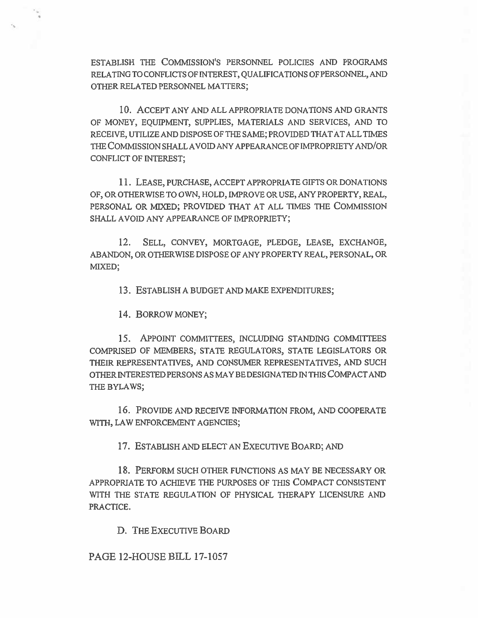ESTABLISH THE COMMISSION'S PERSONNEL POLICIES AND PROGRAMS RELATING TO CONFLICTS OF INTEREST, QUALIFICATIONS OF PERSONNEL, AND OTHER RELATED PERSONNEL MATTERS;

10. ACCEPT ANY AND ALL APPROPRIATE DONATIONS AND GRANTS OF MONEY, EQUIPMENT, SUPPLIES, MATERIALS AND SERVICES, AND TO RECEIVE, UTILIZE AND DISPOSE OF THE SAME; PROVIDED THAT AT ALL TIMES THE COMMISSION SHALL AVOID ANY APPEARANCE OF IMPROPRIETY AND/OR CONFLICT OF INTEREST;

11. LEASE, PURCHASE, ACCEPT APPROPRIATE GIFTS OR DONATIONS OF, OR OTHERWISE TO OWN, HOLD, IMPROVE OR USE, ANY PROPERTY, REAL, PERSONAL OR MIXED; PROVIDED THAT AT ALL TIMES THE COMMISSION SHALL AVOID ANY APPEARANCE OF IMPROPRIETY;

12. SELL, CONVEY, MORTGAGE, PLEDGE, LEASE, EXCHANGE, ABANDON, OR OTHERWISE DISPOSE OF ANY PROPERTY REAL, PERSONAL, OR MIXED;

13. ESTABLISH A BUDGET AND MAKE EXPENDITURES;

14. BORROW MONEY;

15. APPOINT COMMITTEES, INCLUDING STANDING COMMITTEES COMPRISED OF MEMBERS, STATE REGULATORS, STATE LEGISLATORS OR THEIR REPRESENTATIVES, AND CONSUMER REPRESENTATIVES, AND SUCH OTHER INTERESTED PERSONS AS MAY BE DESIGNATED IN THIS COMPACT AND THE BYLAWS;

16. PROVIDE AND RECEIVE INFORMATION FROM, AND COOPERATE WITH, LAW ENFORCEMENT AGENCIES;

17. ESTABLISH AND ELECT AN EXECUTIVE BOARD; AND

18. PERFORM SUCH OTHER FUNCTIONS AS MAY BE NECESSARY OR APPROPRIATE TO ACHIEVE THE PURPOSES OF THIS COMPACT CONSISTENT WITH THE STATE REGULATION OF PHYSICAL THERAPY LICENSURE AND PRACTICE.

D. THE EXECUTIVE BOARD

PAGE 12-HOUSE BILL 17-1057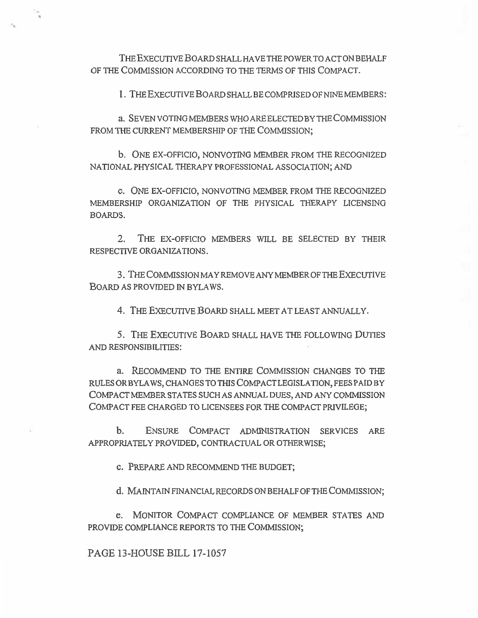**THE** EXECUTIVE **BOARD** SHALL HAVE THE POWER TO ACT ON BEHALF OF THE COMMISSION ACCORDING TO THE TERMS OF THIS COMPACT.

1. THE EXECUTIVE BOARD SHALL BE COMPRISED OF NINE MEMBERS:

**a. SEVEN** VOTING MEMBERS WHO ARE ELECTED BY THE COMMISSION FROM THE CURRENT MEMBERSHIP OF THE COMMISSION;

b. ONE EX-OFFICIO, NONVOTING MEMBER FROM THE RECOGNIZED NATIONAL PHYSICAL THERAPY PROFESSIONAL ASSOCIATION; AND

c. ONE EX-OFFICIO, NONVOTING MEMBER FROM THE RECOGNIZED MEMBERSHIP ORGANIZATION OF THE PHYSICAL THERAPY LICENSING BOARDS.

**2. THE** EX-OFFICIO MEMBERS WILL BE SELECTED BY THEIR RESPECTIVE ORGANIZATIONS.

**3.** THE COMMISSION MAY REMOVE ANY MEMBER OF THE EXECUTIVE BOARD AS PROVIDED IN BYLAWS.

**4.** THE EXECUTIVE BOARD SHALL MEET AT LEAST ANNUALLY.

**5.** THE EXECUTIVE BOARD SHALL HAVE THE FOLLOWING DUTIES AND RESPONSIBILITIES:

a. RECOMMEND TO THE ENTIRE COMMISSION CHANGES TO THE RULES OR BYLAWS, CHANGES TO THIS COMPACT LEGISLATION, FEES PAID BY COMPACT MEMBER STATES SUCH AS ANNUAL DUES, AND ANY COMMISSION COMPACT FEE CHARGED TO LICENSEES FOR THE COMPACT PRIVILEGE;

b. ENSURE COMPACT ADMINISTRATION SERVICES ARE APPROPRIATELY PROVIDED, CONTRACTUAL OR OTHERWISE;

c. PREPARE AND RECOMMEND THE BUDGET;

d. MAINTAIN FINANCIAL RECORDS ON BEHALF OF THE COMMISSION;

e. MONITOR COMPACT COMPLIANCE OF MEMBER STATES AND PROVIDE COMPLIANCE REPORTS TO THE COMMISSION;

**PAGE 13-HOUSE BILL 17-1057**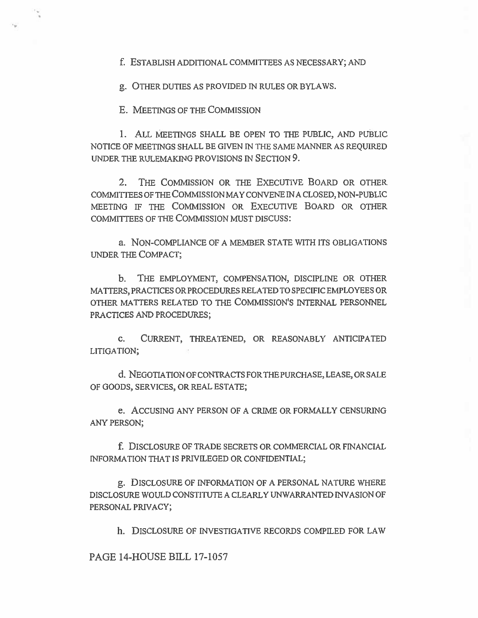f. ESTABLISH ADDITIONAL COMMITTEES AS NECESSARY; AND

g. OTHER DUTIES AS PROVIDED IN RULES OR BYLAWS.

E. MEETINGS OF THE COMMISSION

1. ALL MEETINGS SHALL BE OPEN TO THE PUBLIC, AND PUBLIC NOTICE OF MEETINGS SHALL BE GIVEN IN THE SAME MANNER AS REQUIRED UNDER THE RULEMAKING PROVISIONS IN SECTION 9.

2. THE COMMISSION OR THE EXECUTIVE BOARD OR OTHER COMMITTEES OF THE COMMISSION MAY CONVENE IN A CLOSED, NON-PUBLIC MEETING IF THE COMMISSION OR EXECUTIVE BOARD OR OTHER COMMITTEES OF THE COMMISSION MUST DISCUSS:

a. NON-COMPLIANCE OF A MEMBER STATE WITH ITS OBLIGATIONS UNDER THE COMPACT;

b. THE EMPLOYMENT, COMPENSATION, DISCIPLINE OR OTHER MATTERS, PRACTICES OR PROCEDURES RELATED TO SPECIFIC EMPLOYEES OR OTHER MATTERS RELATED TO THE COMMISSION'S INTERNAL PERSONNEL PRACTICES AND PROCEDURES;

c. CURRENT, THREATENED, OR REASONABLY ANTICIPATED LITIGATION;

d. NEGOTIATION OF CONTRACTS FOR THE PURCHASE, LEASE, OR SALE OF GOODS, SERVICES, OR REAL ESTATE;

e. ACCUSING ANY PERSON OF A CRIME OR FORMALLY CENSURING ANY PERSON;

f. DISCLOSURE OF TRADE SECRETS OR COMMERCIAL OR FINANCIAL INFORMATION THAT IS PRIVILEGED OR CONFIDENTIAL;

g. DISCLOSURE OF INFORMATION OF A PERSONAL NATURE WHERE DISCLOSURE WOULD CONSTITUTE A CLEARLY UNWARRANTED INVASION OF PERSONAL PRIVACY;

h. DISCLOSURE OF INVESTIGATIVE RECORDS COMPILED FOR LAW

PAGE 14-HOUSE BILL 17-1057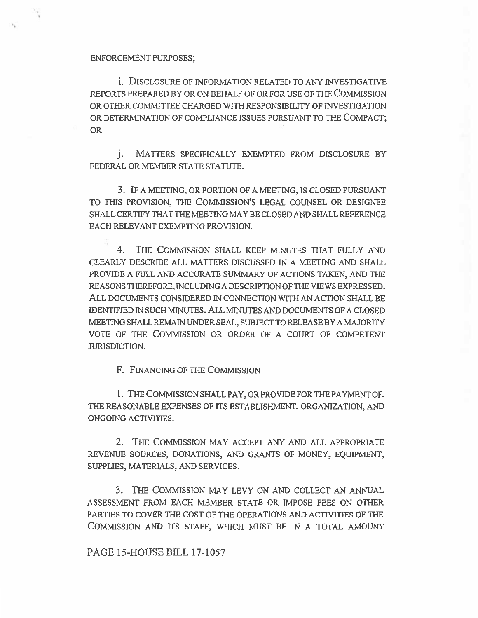ENFORCEMENT PURPOSES;

i. DISCLOSURE OF INFORMATION RELATED TO ANY INVESTIGATIVE REPORTS PREPARED BY OR ON BEHALF OF OR FOR USE OF THE COMMISSION OR OTHER COMMITTEE CHARGED WITH RESPONSIBILITY OF INVESTIGATION OR DETERMINATION OF COMPLIANCE ISSUES PURSUANT TO THE COMPACT; OR

j. MATTERS SPECIFICALLY EXEMPTED FROM DISCLOSURE BY FEDERAL OR MEMBER STATE STATUTE.

3. IF A MEETING, OR PORTION OF A MEETING, IS CLOSED PURSUANT TO THIS PROVISION, THE COMMISSION'S LEGAL COUNSEL OR DESIGNEE SHALL CERTIFY THAT THE MEETING MAY BE CLOSED AND SHALL REFERENCE EACH RELEVANT EXEMPTING PROVISION.

4. THE COMMISSION SHALL KEEP MINUTES THAT FULLY AND CLEARLY DESCRIBE ALL MATTERS DISCUSSED IN A MEETING AND SHALL PROVIDE A FULL AND ACCURATE SUMMARY OF ACTIONS TAKEN, AND THE REASONS THEREFORE, INCLUDING A DESCRIPTION OF THE VIEWS EXPRESSED. ALL DOCUMENTS CONSIDERED IN CONNECTION WITH AN ACTION SHALL BE IDENTIFIED IN SUCH MINUTES. ALL MINUTES AND DOCUMENTS OF A CLOSED MEETING SHALL REMAIN UNDER SEAL, SUBJECT TO RELEASE BY A MAJORITY VOTE OF THE COMMISSION OR ORDER OF A COURT OF COMPETENT JURISDICTION.

F. FINANCING OF THE COMMISSION

1. THE COMMISSION SHALL PAY, OR PROVIDE FOR THE PAYMENT OF, THE REASONABLE EXPENSES OF ITS ESTABLISHMENT, ORGANIZATION, AND ONGOING ACTIVITIES.

2. THE COMMISSION MAY ACCEPT ANY AND ALL APPROPRIATE REVENUE SOURCES, DONATIONS, AND GRANTS OF MONEY, EQUIPMENT, SUPPLIES, MATERIALS, AND SERVICES.

3. THE COMMISSION MAY LEVY ON AND COLLECT AN ANNUAL ASSESSMENT FROM EACH MEMBER STATE OR IMPOSE FEES ON OTHER PARTIES TO COVER THE COST OF THE OPERATIONS AND ACTIVITIES OF THE COMMISSION AND ITS STAFF, WHICH MUST BE IN A TOTAL AMOUNT

PAGE 15-HOUSE BILL 17-1057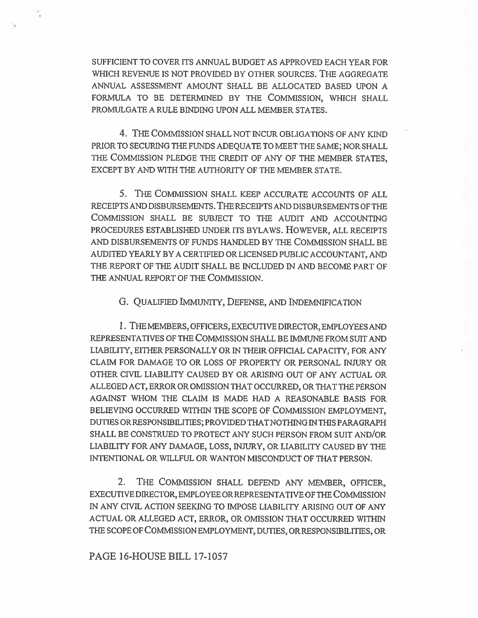SUFFICIENT TO COVER ITS ANNUAL BUDGET AS APPROVED EACH YEAR FOR WHICH REVENUE IS NOT PROVIDED BY OTHER SOURCES. THE AGGREGATE ANNUAL ASSESSMENT AMOUNT SHALL BE ALLOCATED BASED UPON A FORMULA TO BE DETERMINED BY THE COMMISSION, WHICH SHALL PROMULGATE A RULE BINDING UPON ALL MEMBER STATES.

4. THE COMMISSION SHALL NOT INCUR OBLIGATIONS OF ANY KIND PRIOR TO SECURING THE FUNDS ADEQUATE TO MEET THE SAME; NOR SHALL THE COMMISSION PLEDGE THE CREDIT OF ANY OF THE MEMBER STATES, EXCEPT BY AND WITH THE AUTHORITY OF THE MEMBER STATE.

5. THE COMMISSION SHALL KEEP ACCURATE ACCOUNTS OF ALL RECEIPTS AND DISBURSEMENTS. THE RECEIPTS AND DISBURSEMENTS OF THE COMMISSION SHALL BE SUBJECT TO THE AUDIT AND ACCOUNTING PROCEDURES ESTABLISHED UNDER ITS BYLAWS. HOWEVER, ALL RECEIPTS AND DISBURSEMENTS OF FUNDS HANDLED BY THE COMMISSION SHALL BE AUDITED YEARLY BY A CERTIFIED OR LICENSED PUBLIC ACCOUNTANT, AND THE REPORT OF THE AUDIT SHALL BE INCLUDED IN AND BECOME PART OF THE ANNUAL REPORT OF THE COMMISSION.

G. QUALIFIED IMMUNITY, DEFENSE, AND INDEMNIFICATION

1. THE MEMBERS, OFFICERS, EXECUTIVE DIRECTOR, EMPLOYEES AND REPRESENTATIVES OF THE COMMISSION SHALL BE IMMUNE FROM SUIT AND LIABILITY, EITHER PERSONALLY OR IN THEIR OFFICIAL CAPACITY, FOR ANY CLAIM FOR DAMAGE TO OR LOSS OF PROPERTY OR PERSONAL INJURY OR OTHER CIVIL LIABILITY CAUSED BY OR ARISING OUT OF ANY ACTUAL OR ALLEGED ACT, ERROR OR OMISSION THAT OCCURRED, OR THAT THE PERSON AGAINST WHOM THE CLAIM IS MADE HAD A REASONABLE BASIS FOR BELIEVING OCCURRED WITHIN THE SCOPE OF COMMISSION EMPLOYMENT, DUTIES OR RESPONSIBILITIES; PROVIDED THAT NOTHING IN THIS PARAGRAPH SHALL BE CONSTRUED TO PROTECT ANY SUCH PERSON FROM SUIT AND/OR LIABILITY FOR ANY DAMAGE, LOSS, INJURY, OR LIABILITY CAUSED BY THE INTENTIONAL OR WILLFUL OR WANTON MISCONDUCT OF THAT PERSON.

2. THE COMMISSION SHALL DEFEND ANY MEMBER, OFFICER, EXECUTIVE DIRECTOR, EMPLOYEE OR REPRESENTATIVE OF THE COMMISSION IN ANY CIVIL ACTION SEEKING TO IMPOSE LIABILITY ARISING OUT OF ANY ACTUAL OR ALLEGED ACT, ERROR, OR OMISSION THAT OCCURRED WITHIN THE SCOPE OF COMMISSION EMPLOYMENT, DUTIES, OR RESPONSIBILITIES, OR

PAGE 16-HOUSE BILL 17-1057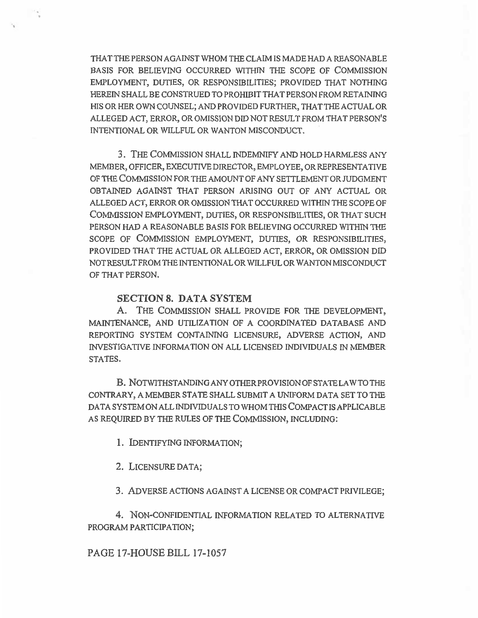THAT THE PERSON AGAINST WHOM THE CLAIM IS MADE HAD A REASONABLE BASIS FOR BELIEVING OCCURRED WITHIN THE SCOPE OF COMMISSION EMPLOYMENT, DUTIES, OR RESPONSIBILITIES; PROVIDED THAT NOTHING HEREIN SHALL BE CONSTRUED TO PROHIBIT THAT PERSON FROM RETAINING HIS OR HER OWN COUNSEL; AND PROVIDED FURTHER, THAT THE ACTUAL OR ALLEGED ACT, ERROR, OR OMISSION DID NOT RESULT FROM THAT PERSON'S INTENTIONAL OR WILLFUL OR WANTON MISCONDUCT.

3. THE COMMISSION SHALL INDEMNIFY AND HOLD HARMLESS ANY MEMBER, OFFICER, EXECUTIVE DIRECTOR, EMPLOYEE, OR REPRESENTATIVE OF THE COMMISSION FOR THE AMOUNT OF ANY SETTLEMENT OR JUDGMENT OBTAINED AGAINST THAT PERSON ARISING OUT OF ANY ACTUAL OR ALLEGED ACT, ERROR OR OMISSION THAT OCCURRED WITHIN THE SCOPE OF COMMISSION EMPLOYMENT, DUTIES, OR RESPONSIBILITIES, OR THAT SUCH PERSON HAD A REASONABLE BASIS FOR BELIEVING OCCURRED WITHIN THE SCOPE OF COMMISSION EMPLOYMENT, DUTIES, OR RESPONSIBILITIES, PROVIDED THAT THE ACTUAL OR ALLEGED ACT, ERROR, OR OMISSION DID NOT RESULT FROM THE INTENTIONAL OR WILLFUL OR WANTON MISCONDUCT OF THAT PERSON.

### SECTION 8. DATA SYSTEM

A. THE COMMISSION SHALL PROVIDE FOR THE DEVELOPMENT, MAINTENANCE, AND UTILIZATION OF A COORDINATED DATABASE AND REPORTING SYSTEM CONTAINING LICENSURE, ADVERSE ACTION, AND INVESTIGATIVE INFORMATION ON ALL LICENSED INDIVIDUALS IN MEMBER STATES.

B. NOTWITHSTANDING ANY OTHER PROVISION OF STATE LAW TO THE CONTRARY, A MEMBER STATE SHALL SUBMIT A UNIFORM DATA SET TO THE DATA SYSTEM ON ALL INDIVIDUALS TO WHOM THIS COMPACT IS APPLICABLE AS REQUIRED BY THE RULES OF THE COMMISSION, INCLUDING:

1. IDENTIFYING INFORMATION;

2. LICENSURE DATA;

3. ADVERSE ACTIONS AGAINST A LICENSE OR COMPACT PRIVILEGE;

4. NON-CONFIDENTIAL INFORMATION RELATED TO ALTERNATIVE PROGRAM PARTICIPATION;

PAGE 17-HOUSE BILL 17-1057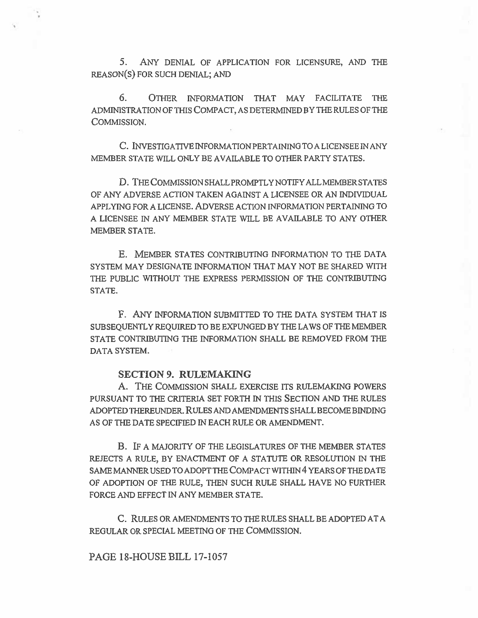5. ANY DENIAL OF APPLICATION FOR LICENSURE, AND THE REASON(S) FOR SUCH DENIAL; AND

6. OTHER INFORMATION THAT MAY FACILITATE THE ADMINISTRATION OF THIS COMPACT, AS DETERMINED BY THE RULES OF THE COMMISSION.

C. INVESTIGATIVE INFORMATION PERTAINING TO A LICENSEE IN ANY MEMBER STATE WILL ONLY BE AVAILABLE TO OTHER PARTY STATES.

D. THE **COMMISSION** SHALL PROMPTLY NOTIFY ALL MEMBER STATES OF ANY ADVERSE ACTION TAKEN AGAINST A LICENSEE OR AN INDIVIDUAL APPLYING FOR A LICENSE. ADVERSE ACTION INFORMATION PERTAINING TO A LICENSEE IN ANY MEMBER STATE WILL BE AVAILABLE TO ANY OTHER MEMBER STATE.

E. MEMBER STATES CONTRIBUTING INFORMATION TO THE DATA SYSTEM MAY DESIGNATE INFORMATION THAT MAY NOT BE SHARED WITH THE PUBLIC WITHOUT THE EXPRESS PERMISSION OF THE CONTRIBUTING STATE.

F. ANY INFORMATION SUBMITTED TO THE DATA SYSTEM THAT IS SUBSEQUENTLY REQUIRED TO BE EXPUNGED BY THE LAWS OF THE MEMBER STATE CONTRIBUTING THE INFORMATION SHALL BE REMOVED FROM THE DATA SYSTEM.

## **SECTION 9. RULEMAKING**

A. THE COMMISSION SHALL EXERCISE ITS RULEMAKING POWERS PURSUANT TO THE CRITERIA SET FORTH IN THIS SECTION AND THE RULES ADOPTED THEREUNDER. RULES AND AMENDMENTS SHALL BECOME BINDING AS OF THE DATE SPECIFIED IN EACH RULE OR AMENDMENT.

B. IF A MAJORITY OF THE LEGISLATURES OF THE MEMBER STATES REJECTS A RULE, BY ENACTMENT OF A STATUTE OR RESOLUTION IN THE SAME MANNER USED TO ADOPT THE COMPACT WITHIN 4 YEARS OF THE DATE OF ADOPTION OF THE RULE, THEN SUCH RULE SHALL HAVE NO FURTHER FORCE AND EFFECT IN ANY MEMBER STATE.

C. RULES OR AMENDMENTS TO THE RULES SHALL BE ADOPTED AT A REGULAR OR SPECIAL MEETING OF THE COMMISSION.

PAGE **18-HOUSE BILL** 17-1057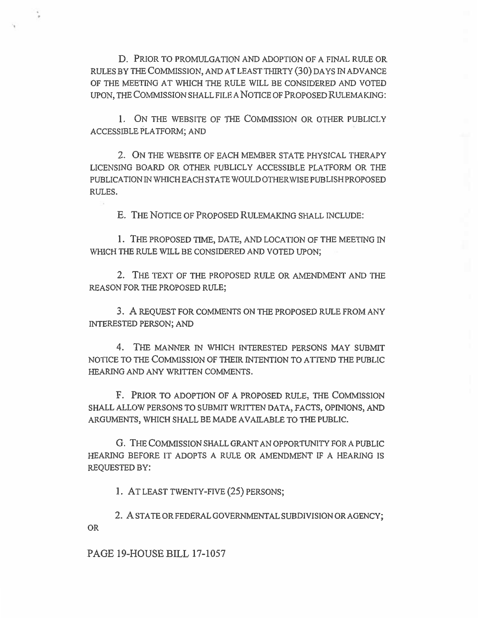D. PRIOR TO PROMULGATION AND ADOPTION OF A FINAL RULE OR RULES BY THE COMMISSION, AND AT LEAST THIRTY (30) DAYS IN ADVANCE OF THE MEETING AT WHICH THE RULE WILL BE CONSIDERED AND VOTED UPON, THE COMMISSION SHALL FILE A NOTICE OF PROPOSED RULEMAKING:

1. ON THE WEBSITE OF THE COMMISSION OR OTHER PUBLICLY ACCESSIBLE PLATFORM; AND

2. ON THE WEBSITE OF EACH MEMBER STATE PHYSICAL THERAPY LICENSING BOARD OR OTHER PUBLICLY ACCESSIBLE PLATFORM OR THE PUBLICATION IN WHICH EACH STATE WOULD OTHERWISE PUBLISH PROPOSED RULES.

E. THE NOTICE OF PROPOSED RULEMAKING SHALL INCLUDE:

1. THE PROPOSED TIME, DATE, AND LOCATION OF THE MEETING IN WHICH THE RULE WILL BE CONSIDERED AND VOTED UPON;

2. THE TEXT OF THE PROPOSED RULE OR AMENDMENT AND THE REASON FOR THE PROPOSED RULE;

3. A REQUEST FOR COMMENTS ON THE PROPOSED RULE FROM ANY INTERESTED PERSON; AND

4. THE MANNER IN WHICH INTERESTED PERSONS MAY SUBMIT NOTICE TO THE COMMISSION OF THEIR INTENTION TO ATTEND THE PUBLIC HEARING AND ANY WRITTEN COMMENTS.

F. PRIOR TO ADOPTION OF A PROPOSED RULE, THE COMMISSION SHALL ALLOW PERSONS TO SUBMIT WRITTEN DATA, FACTS, OPINIONS, AND ARGUMENTS, WHICH SHALL BE MADE AVAILABLE TO THE PUBLIC.

G. THE COMMISSION SHALL GRANT AN OPPORTUNITY FOR A PUBLIC HEARING BEFORE IT ADOPTS A RULE OR AMENDMENT IF A HEARING IS REQUESTED BY:

1. AT LEAST TWENTY-FIVE (25) PERSONS;

2. A STATE OR FEDERAL GOVERNMENTAL SUBDIVISION OR AGENCY; OR

PAGE 19-HOUSE BILL 17-1057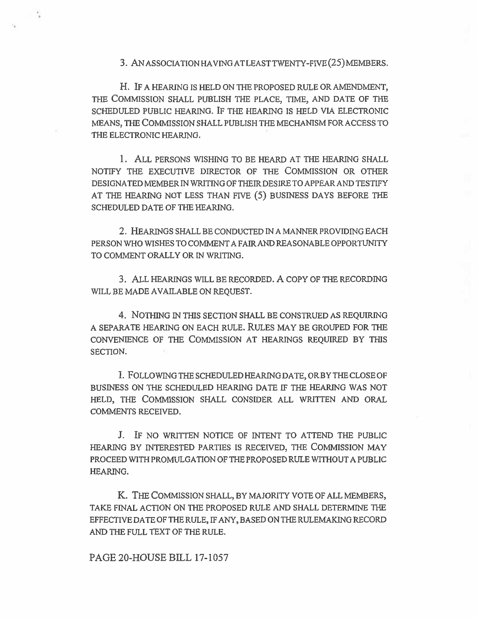3. AN ASSOCIATION HAVING AT LEAST TWENTY-FIVE (25) MEMBERS .

H. IF A HEARING IS HELD ON THE PROPOSED RULE OR AMENDMENT, THE COMMISSION SHALL PUBLISH THE PLACE, TIME, AND DATE OF THE SCHEDULED PUBLIC HEARING. IF THE HEARING IS HELD VIA ELECTRONIC MEANS, THE COMMISSION SHALL PUBLISH THE MECHANISM FOR ACCESS TO THE ELECTRONIC HEARING.

1. ALL PERSONS WISHING TO BE HEARD AT THE HEARING SHALL NOTIFY THE EXECUTIVE DIRECTOR OF THE COMMISSION OR OTHER DESIGNATED MEMBER IN WRITING OF THEIR DESIRE TO APPEAR AND TESTIFY AT THE HEARING NOT LESS THAN FIVE (5) BUSINESS DAYS BEFORE THE SCHEDULED DATE OF THE HEARING.

2. HEARINGS SHALL BE CONDUCTED IN A MANNER PROVIDING EACH PERSON WHO WISHES TO COMMENT A FAIR AND REASONABLE OPPORTUNITY TO COMMENT ORALLY OR IN WRITING.

3. ALL HEARINGS WILL BE RECORDED. A COPY OF THE RECORDING WILL BE MADE AVAILABLE ON REQUEST.

4. NOTHING IN THIS SECTION SHALL BE CONSTRUED AS REQUIRING A SEPARATE HEARING ON EACH RULE. RULES MAY BE GROUPED FOR THE CONVENIENCE OF THE COMMISSION AT HEARINGS REQUIRED BY THIS SECTION.

I. FOLLOWING THE SCHEDULED HEARING DATE, OR BY THE CLOSE OF BUSINESS ON THE SCHEDULED HEARING DATE IF THE HEARING WAS NOT HELD, THE COMMISSION SHALL CONSIDER ALL WRITTEN AND ORAL COMMENTS RECEIVED.

J. IF NO WRITTEN NOTICE OF INTENT TO ATTEND THE PUBLIC HEARING BY INTERESTED PARTIES IS RECEIVED, THE COMMISSION MAY PROCEED WITH PROMULGATION OF THE PROPOSED RULE WITHOUT A PUBLIC HEARING.

K. THE COMMISSION SHALL, BY MAJORITY VOTE OF ALL MEMBERS, TAKE FINAL ACTION ON THE PROPOSED RULE AND SHALL DETERMINE THE EFFECTIVE DATE OF THE RULE, IF ANY, BASED ON THE RULEMAKING RECORD AND THE FULL TEXT OF THE RULE.

PAGE 20-HOUSE BILL 17-1057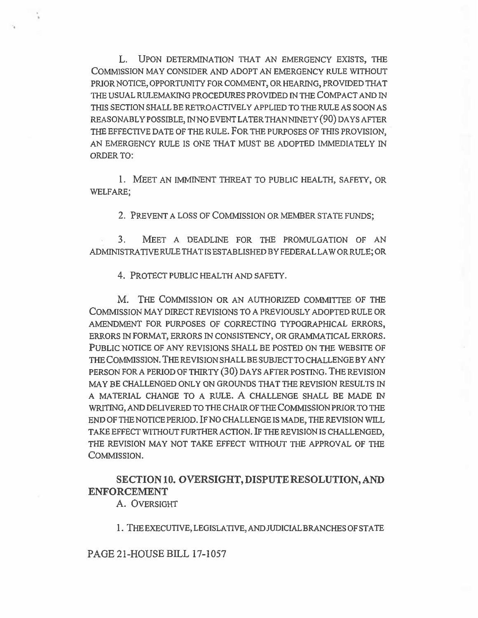L. UPON DETERMINATION THAT AN EMERGENCY EXISTS, THE COMMISSION MAY CONSIDER AND ADOPT AN EMERGENCY RULE WITHOUT PRIOR NOTICE, OPPORTUNITY FOR COMMENT, OR HEARING, PROVIDED THAT THE USUAL RULEMAKING PROCEDURES PROVIDED IN THE COMPACT AND IN THIS SECTION SHALL BE RETROACTIVELY APPLIED TO THE RULE AS SOON AS REASONABLY POSSIBLE, IN NO EVENT LATER THAN NINETY (90) DAYS AFTER THE EFFECTIVE DATE OF THE RULE. FOR THE PURPOSES OF THIS PROVISION, AN EMERGENCY RULE IS ONE THAT MUST BE ADOPTED IMMEDIATELY IN ORDER TO:

1. MEET AN IMMINENT THREAT TO PUBLIC HEALTH, SAFETY, OR WELFARE;

2. PREVENT A LOSS OF COMMISSION OR MEMBER STATE FUNDS;

3. MEET A DEADLINE FOR THE PROMULGATION OF AN ADMINISTRATIVE RULE THAT IS ESTABLISHED BY FEDERAL LAW OR RULE; OR

4. PROTECT PUBLIC HEALTH AND SAFETY.

M. THE COMMISSION OR AN AUTHORIZED COMMITTEE OF THE COMMISSION MAY DIRECT REVISIONS TO A PREVIOUSLY ADOPTED RULE OR AMENDMENT FOR PURPOSES OF CORRECTING TYPOGRAPHICAL ERRORS, ERRORS IN FORMAT, ERRORS IN CONSISTENCY, OR GRAMMATICAL ERRORS. PUBLIC NOTICE OF ANY REVISIONS SHALL BE POSTED ON THE WEBSITE OF THE COMMISSION. THE REVISION SHALL BE SUBJECT TO CHALLENGE BY ANY PERSON FORA PERIOD OF THIRTY (30) DAYS AFTER POSTING. THE REVISION MAY BE CHALLENGED ONLY ON GROUNDS THAT THE REVISION RESULTS IN A MATERIAL CHANGE TO A RULE. A CHALLENGE SHALL BE MADE IN WRITING, AND DELIVERED TO THE CHAIR OF THE COMMISSION PRIOR TO THE END OF THE NOTICE PERIOD. IF NO CHALLENGE IS MADE, THE REVISION WILL TAKE EFFECT WITHOUT FURTHER ACTION. IF THE REVISION IS CHALLENGED, THE REVISION MAY NOT TAKE EFFECT WITHOUT THE APPROVAL OF THE COMMISSION.

# **SECTION 10. OVERSIGHT, DISPUTE RESOLUTION, AND ENFORCEMENT**

A. OVERSIGHT

1. THE EXECUTIVE, LEGISLATIVE, AND JUDICIAL BRANCHES OF STATE

PAGE 21-HOUSE BILL 17-1057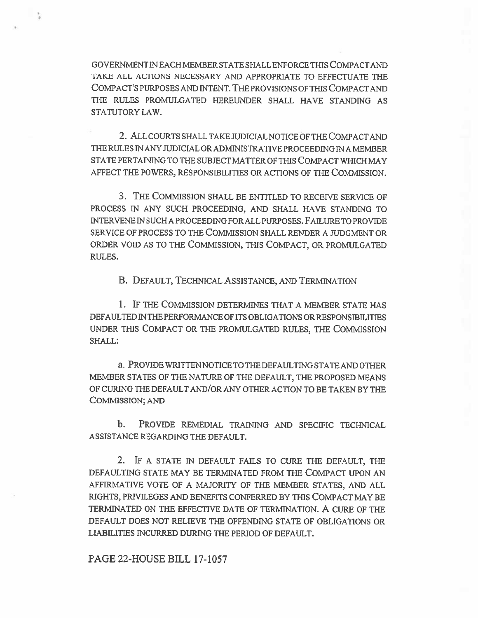GOVERNMENT IN EACH MEMBER STATE SHALL ENFORCE THIS COMPACT AND TAKE ALL ACTIONS NECESSARY AND APPROPRIATE TO EFFECTUATE THE COMPACT'S PURPOSES AND INTENT. THE PROVISIONS OF THIS COMPACT AND THE RULES PROMULGATED HEREUNDER SHALL HAVE STANDING AS STATUTORY LAW.

2. ALL COURTS SHALL TAKE JUDICIAL NOTICE OF THE COMPACT AND THE RULES IN ANY JUDICIAL OR ADMINISTRATIVE PROCEEDING IN A MEMBER STATE PERTAINING TO THE SUBJECT MATTER OF THIS COMPACT WHICH MAY AFFECT THE POWERS, RESPONSIBILITIES OR ACTIONS OF THE COMMISSION.

3. THE COMMISSION SHALL BE ENTITLED TO RECEIVE SERVICE OF PROCESS IN ANY SUCH PROCEEDING, AND SHALL HAVE STANDING TO INTERVENE IN SUCH A PROCEEDING FOR ALL PURPOSES. FAILURE TO PROVIDE SERVICE OF PROCESS TO THE COMMISSION SHALL RENDER A JUDGMENT OR ORDER VOID AS TO THE COMMISSION, THIS COMPACT, OR PROMULGATED RULES.

B. DEFAULT, TECHNICAL ASSISTANCE, AND TERMINATION

1. IF THE COMMISSION DETERMINES THAT A MEMBER STATE HAS DEFAULTED IN THE PERFORMANCE OF ITS OBLIGATIONS OR RESPONSIBILITIES UNDER THIS COMPACT OR THE PROMULGATED RULES, THE COMMISSION SHALL:

a. PROVIDE WRITTEN NOTICE TO THE DEFAULTING STATE AND OTHER MEMBER STATES OF THE NATURE OF THE DEFAULT, THE PROPOSED MEANS OF CURING THE DEFAULT AND/OR ANY OTHER ACTION TO BE TAKEN BY THE COMMISSION; AND

b. PROVIDE REMEDIAL TRAINING AND SPECIFIC TECHNICAL ASSISTANCE REGARDING THE DEFAULT.

2. IF A STATE IN DEFAULT FAILS TO CURE **THE** DEFAULT, THE DEFAULTING STATE MAY BE TERMINATED FROM THE COMPACT UPON AN AFFIRMATIVE VOTE OF A MAJORITY OF THE MEMBER STATES, AND ALL RIGHTS, PRIVILEGES AND BENEFITS CONFERRED BY THIS COMPACT MAY BE TERMINATED ON THE EFFECTIVE DATE OF TERMINATION. A CURE OF THE DEFAULT DOES NOT RELIEVE THE OFFENDING STATE OF OBLIGATIONS OR LIABILITIES INCURRED DURING THE PERIOD OF DEFAULT.

PAGE 22-HOUSE BILL 17-1057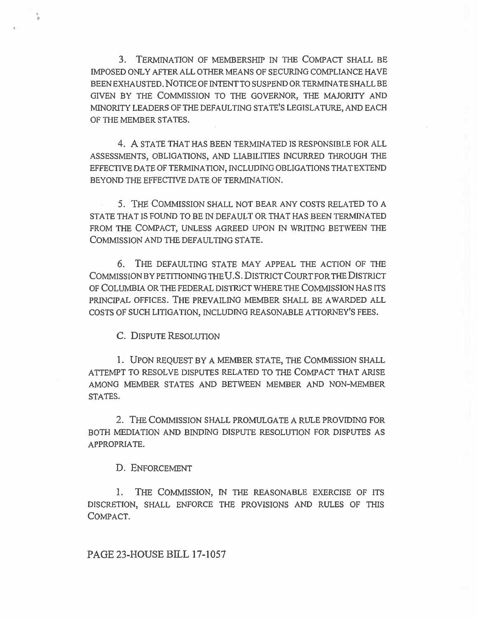3. TERMINATION OF MEMBERSHIP IN THE COMPACT SHALL BE IMPOSED ONLY AFTER ALL OTHER MEANS OF SECURING COMPLIANCE HAVE BEEN EXHAUSTED. NOTICE OF INTENT TO SUSPEND OR TERMINATE SHALL BE GIVEN BY THE COMMISSION TO THE GOVERNOR, THE MAJORITY AND MINORITY LEADERS OF THE DEFAULTING STATE'S LEGISLATURE, AND EACH OF THE MEMBER STATES.

4. A STATE THAT HAS BEEN TERMINATED IS RESPONSIBLE FOR ALL ASSESSMENTS, OBLIGATIONS, AND LIABILITIES INCURRED THROUGH THE EFFECTIVE DATE OF TERMINATION, INCLUDING OBLIGATIONS THAT EXTEND BEYOND THE EFFECTIVE DATE OF TERMINATION.

5. THE COMMISSION SHALL NOT BEAR ANY COSTS RELATED TO A STATE THAT IS FOUND TO BE IN DEFAULT OR THAT HAS BEEN TERMINATED FROM THE COMPACT, UNLESS AGREED UPON IN WRITING BETWEEN THE COMMISSION AND THE DEFAULTING STATE.

6. THE DEFAULTING STATE MAY APPEAL THE ACTION OF THE COMMISSION BY PETITIONING THE U.S. DISTRICT COURT FOR THE DISTRICT OF COLUMBIA OR THE FEDERAL DISTRICT WHERE THE COMMISSION HAS ITS PRINCIPAL OFFICES. THE PREVAILING MEMBER SHALL BE AWARDED ALL COSTS OF SUCH LITIGATION, INCLUDING REASONABLE ATTORNEY'S FEES.

C. DISPUTE RESOLUTION

1. UPON REQUEST BY A MEMBER STATE, THE COMMISSION SHALL ATTEMPT TO RESOLVE DISPUTES RELATED TO THE COMPACT THAT ARISE AMONG MEMBER STATES AND BETWEEN MEMBER AND NON-MEMBER STATES.

2. THE COMMISSION SHALL PROMULGATE A RULE PROVIDING FOR BOTH MEDIATION AND BINDING DISPUTE RESOLUTION FOR DISPUTES AS APPROPRIATE.

D. ENFORCEMENT

1. THE COMMISSION, IN THE REASONABLE EXERCISE OF ITS DISCRETION, SHALL ENFORCE THE PROVISIONS AND RULES OF THIS COMPACT.

PAGE 23-HOUSE BILL 17-1057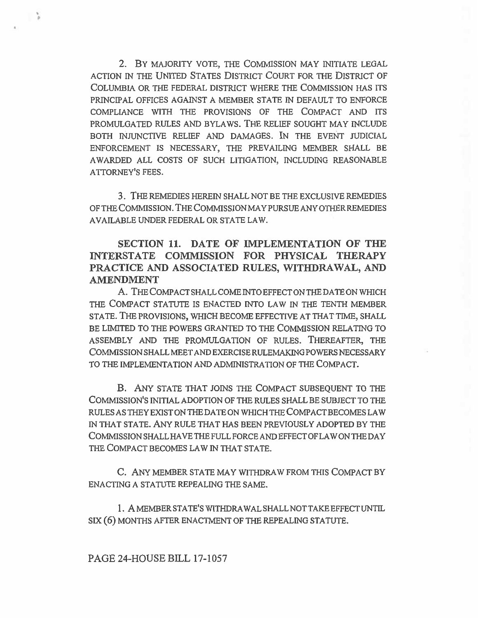2. BY MAJORITY VOTE, THE COMMISSION MAY INITIATE LEGAL ACTION IN THE UNITED STATES DISTRICT COURT FOR THE DISTRICT OF COLUMBIA OR THE FEDERAL DISTRICT WHERE THE COMMISSION HAS ITS PRINCIPAL OFFICES AGAINST A MEMBER STATE IN DEFAULT TO ENFORCE COMPLIANCE WITH THE PROVISIONS OF THE COMPACT AND ITS PROMULGATED RULES AND BYLAWS. THE RELIEF SOUGHT MAY INCLUDE BOTH INJUNCTIVE RELIEF AND DAMAGES. IN THE EVENT JUDICIAL ENFORCEMENT IS NECESSARY, THE PREVAILING MEMBER SHALL BE AWARDED ALL COSTS OF SUCH LITIGATION, INCLUDING REASONABLE ATTORNEY'S FEES.

3. THE REMEDIES HEREIN SHALL NOT BE THE EXCLUSIVE REMEDIES OF THE COMMISSION. THE COMMISSION MAY PURSUE ANY OTHER REMEDIES AVAILABLE UNDER FEDERAL OR STATE LAW.

# **SECTION 11. DATE OF IMPLEMENTATION OF THE INTERSTATE COMMISSION FOR PHYSICAL THERAPY PRACTICE AND ASSOCIATED RULES, WITHDRAWAL, AND AMENDMENT**

A. THE COMPACT SHALL COME INTO EFFECT ON THE DATE ON WHICH THE COMPACT STATUTE IS ENACTED INTO LAW IN THE TENTH MEMBER STATE. THE PROVISIONS, WHICH BECOME EFFECTIVE AT THAT TIME, SHALL BE LIMITED TO THE POWERS GRANTED TO THE COMMISSION RELATING TO ASSEMBLY AND THE PROMULGATION OF RULES. THEREAFTER, THE COMMISSION SHALL MEET AND EXERCISE RULEMAKING POWERS NECESSARY TO THE IMPLEMENTATION AND ADMINISTRATION OF THE COMPACT.

B. ANY STATE THAT JOINS THE COMPACT SUBSEQUENT TO THE COMMISSION'S INITIAL ADOPTION OF THE RULES SHALL BE SUBJECT TO THE RULES AS THEY EXIST ON THE DATE ON WHICH THE COMPACT BECOMES LAW IN THAT STATE. ANY RULE THAT HAS BEEN PREVIOUSLY ADOPTED BY THE COMMISSION SHALL HAVE THE FULL FORCE AND EFFECT OF LAW ON THE DAY THE COMPACT BECOMES LAW IN THAT STATE.

C. ANY MEMBER STATE MAY WITHDRAW FROM THIS COMPACT BY ENACTING A STATUTE REPEALING THE SAME.

1. A MEMBER STATE'S WITHDRAWAL SHALL NOT TAKE EFFECT UNTIL SIX (6) MONTHS AFTER ENACTMENT OF THE REPEALING STATUTE.

## PAGE 24-HOUSE BILL 17-1057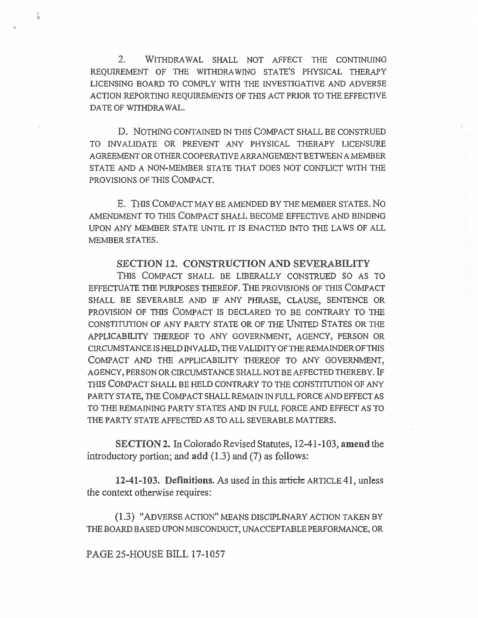2. WITHDRAWAL SHALL NOT AFFECT THE CONTINUING REQUIREMENT OF THE WITHDRAWING STATE'S PHYSICAL THERAPY LICENSING BOARD TO COMPLY WITH THE INVESTIGATIVE AND ADVERSE ACTION REPORTING REQUIREMENTS OF THIS ACT PRIOR TO THE EFFECTIVE DATE OF WITHDRAWAL.

D. NOTHING CONTAINED IN THIS COMPACT SHALL BE CONSTRUED TO INVALIDATE OR PREVENT ANY PHYSICAL THERAPY LICENSURE AGREEMENT OR OTHER COOPERATIVE ARRANGEMENT BETWEEN A MEMBER STATE AND A NON-MEMBER STATE THAT DOES NOT CONFLICT WITH THE PROVISIONS OF THIS COMPACT.

E. THIS COMPACT MAY BE AMENDED BY THE MEMBER STATES. No AMENDMENT TO THIS COMPACT SHALL BECOME EFFECTIVE AND BINDING UPON ANY MEMBER STATE UNTIL IT IS ENACTED INTO THE LAWS OF ALL MEMBER STATES.

## SECTION 12. CONSTRUCTION AND SEVERABILITY

THIS COMPACT SHALL BE LIBERALLY CONSTRUED SO AS TO EFFECTUATE THE PURPOSES THEREOF. THE PROVISIONS OF THIS COMPACT SHALL BE SEVERABLE AND IF ANY PHRASE, CLAUSE, SENTENCE OR PROVISION OF THIS COMPACT IS DECLARED TO BE CONTRARY TO THE CONSTITUTION OF ANY PARTY STATE OR OF THE UNITED STATES OR THE APPLICABILITY THEREOF TO ANY GOVERNMENT, AGENCY, PERSON OR CIRCUMSTANCE IS HELD INVALID, THE VALIDITY OF THE REMAINDER OF THIS COMPACT AND THE APPLICABILITY THEREOF TO ANY GOVERNMENT, AGENCY, PERSON OR CIRCUMSTANCE SHALL NOT BE AFFECTED THEREBY. IF THIS COMPACT SHALL BE HELD CONTRARY TO THE CONSTITUTION OF ANY PARTY STATE, THE COMPACT SHALL REMAIN IN FULL FORCE AND EFFECT AS TO THE REMAINING PARTY STATES AND IN FULL FORCE AND EFFECT AS TO THE PARTY STATE AFFECTED AS TO ALL SEVERABLE MATTERS.

SECTION 2. In Colorado Revised Statutes, 12-41-103, **amend** the introductory portion; and **add** (1.3) and (7) as follows:

**12-41-103. Definitions.** As used in this article ARTICLE 41, unless the context otherwise requires:

(1.3) "ADVERSE ACTION" MEANS DISCIPLINARY ACTION TAKEN BY THE BOARD BASED UPON MISCONDUCT, UNACCEPTABLE PERFORMANCE, OR

PAGE 25-HOUSE **BILL** 17-1057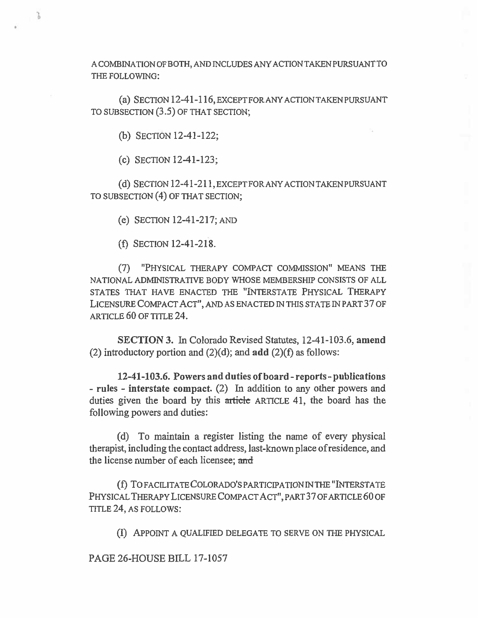A COMBINATION OF BOTH, AND INCLUDES ANY ACTION TAKEN PURSUANT TO THE FOLLOWING:

(a) SECTION 12-41-116, EXCEPT FOR ANY ACTION TAKEN PURSUANT TO SUBSECTION (3.5) OF THAT SECTION;

(b) SECTION 12-41-122;

J.

(c) SECTION 12-41-123;

(d) SECTION 12-41-211, EXCEPT FOR ANY ACTION TAKEN PURSUANT TO SUBSECTION (4) OF THAT SECTION;

(e) SECTION 12-41-217; AND

(f) SECTION 12-41-218.

(7) "PHYSICAL THERAPY COMPACT COMMISSION" MEANS THE NATIONAL ADMINISTRATIVE BODY WHOSE MEMBERSHIP CONSISTS OF ALL STATES THAT HAVE ENACTED THE "INTERSTATE PHYSICAL THERAPY LICENSURE COMPACT ACT", AND AS ENACTED IN THIS STATE IN PART 37 OF ARTICLE 60 OF TITLE 24.

SECTION 3. In Colorado Revised Statutes, 12-41-103.6, amend (2) introductory portion and  $(2)(d)$ ; and add  $(2)(f)$  as follows:

12-41-103.6. Powers and duties of board - reports - publications - rules - interstate compact. (2) In addition to any other powers and duties given the board by this  $\pi$ ticle ARTICLE 41, the board has the following powers and duties:

(d) To maintain a register listing the name of every physical therapist, including the contact address, last-known place of residence, and the license number of each licensee; and

(1) To FACILITATE COLORADO'S PARTICIPATION IN THE "INTERSTATE PHYSICAL THERAPY LICENSURE COMPACT ACT", PART 37 OF ARTICLE 60 OF TITLE 24, AS FOLLOWS:

(I) APPOINT A QUALIFIED DELEGATE TO SERVE ON THE PHYSICAL

PAGE 26-HOUSE BILL 17-1057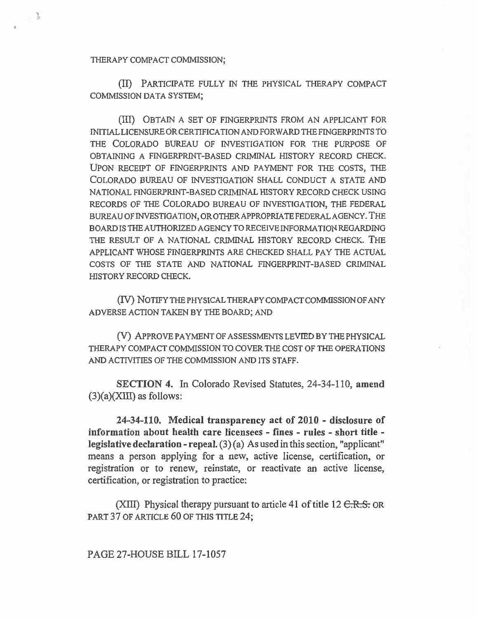THERAPY COMPACT COMMISSION;

 $\sim 3$ 

(II) PARTICIPATE FULLY IN THE PHYSICAL THERAPY COMPACT COMMISSION DATA SYSTEM;

(III) OBTAIN A SET OF FINGERPRINTS FROM AN APPLICANT FOR INITIAL LICENSURE OR CERTIFICATION AND FORWARD THE FINGERPRINTS TO THE COLORADO BUREAU OF INVESTIGATION FOR THE PURPOSE OF OBTAINING A FINGERPRINT-BASED CRIMINAL HISTORY RECORD CHECK. UPON RECEIPT OF FINGERPRINTS AND PAYMENT FOR THE COSTS, THE COLORADO BUREAU OF INVESTIGATION SHALL CONDUCT A STATE AND NATIONAL FINGERPRINT-BASED CRIMINAL HISTORY RECORD CHECK USING RECORDS OF THE COLORADO BUREAU OF INVESTIGATION, THE FEDERAL BUREAU OF INVESTIGATION, OR OTHER APPROPRIATE FEDERAL AGENCY. THE **BOARD** IS THE AUTHORIZED AGENCY TO RECEIVE INFORMATION REGARDING THE RESULT OF A NATIONAL CRIMINAL HISTORY RECORD CHECK. THE APPLICANT WHOSE FINGERPRINTS ARE CHECKED SHALL PAY THE ACTUAL COSTS OF THE STATE AND NATIONAL FINGERPRINT-BASED CRIMINAL HISTORY RECORD CHECK.

(IV) NOTIFY THE PHYSICAL THERAPY COMPACT COMMISSION OF ANY ADVERSE ACTION TAKEN BY THE BOARD; AND

(V) APPROVE PAYMENT OF ASSESSMENTS LEVIED BY THE PHYSICAL THERAPY COMPACT COMMISSION TO COVER THE COST OF THE OPERATIONS AND ACTIVITIES OF THE COMMISSION AND ITS STAFF.

**SECTION 4. In Colorado Revised Statutes, 24-34-110, amend (3)(a)(XIII) as follows:** 

**24-34-110. Medical transparency act of 2010 - disclosure of information about health care licensees - fines - rules - short title legislative declaration - repeal.** (3) (a) As used in this section, "applicant" means a person applying for a new, active license, certification, or registration or to renew, reinstate, or reactivate an active license, certification, or registration to practice:

(XIII) Physical therapy pursuant to article 41 of title  $12 \text{ C.R.S.}$  OR PART 37 OF ARTICLE 60 OF THIS TITLE 24;

PAGE 27-HOUSE **BILL 17-1057**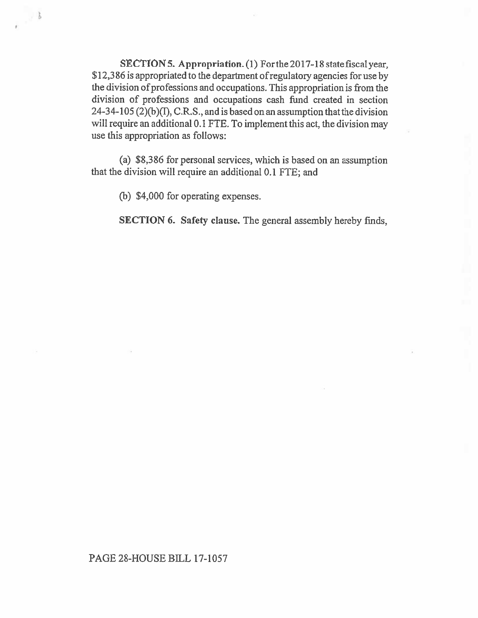**SECTION 5. Appropriation. (1)** For the 2017-18 state fiscal year, \$12,386 is appropriated to the department of regulatory agencies for use by the division of professions and occupations. This appropriation is from the division of professions and occupations cash fund created in section 24-34-105 (2)(b)(I), C.R.S., and **is** based on an assumption that the division will require an additional 0.1 FTE. To implement this act, the division may use this appropriation as follows:

(a) \$8,386 for personal services, which is based on an assumption that the division will require **an** additional 0.1 FTE; and

(b) \$4,000 for operating expenses.

 $\sim$   $3$ 

**SECTION 6. Safety clause.** The general assembly hereby finds,

## PAGE 28-HOUSE BILL 17-1057